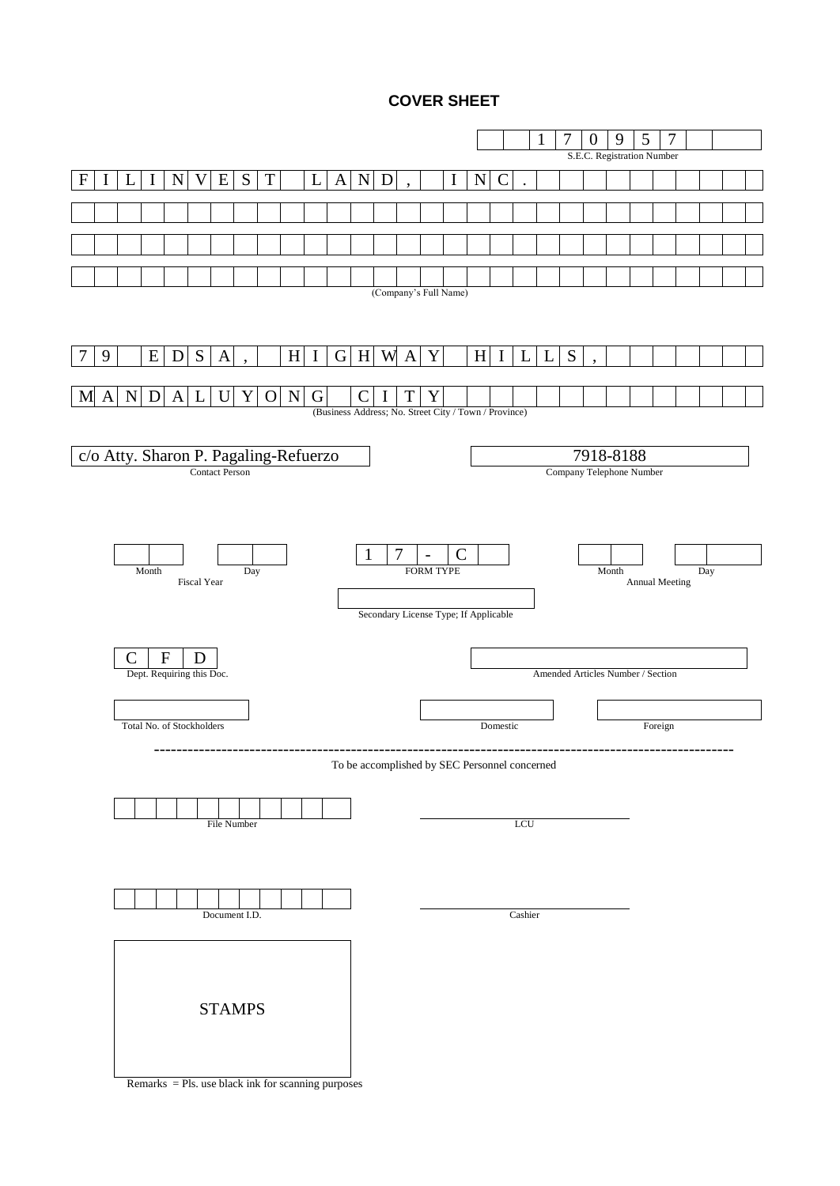# **COVER SHEET**

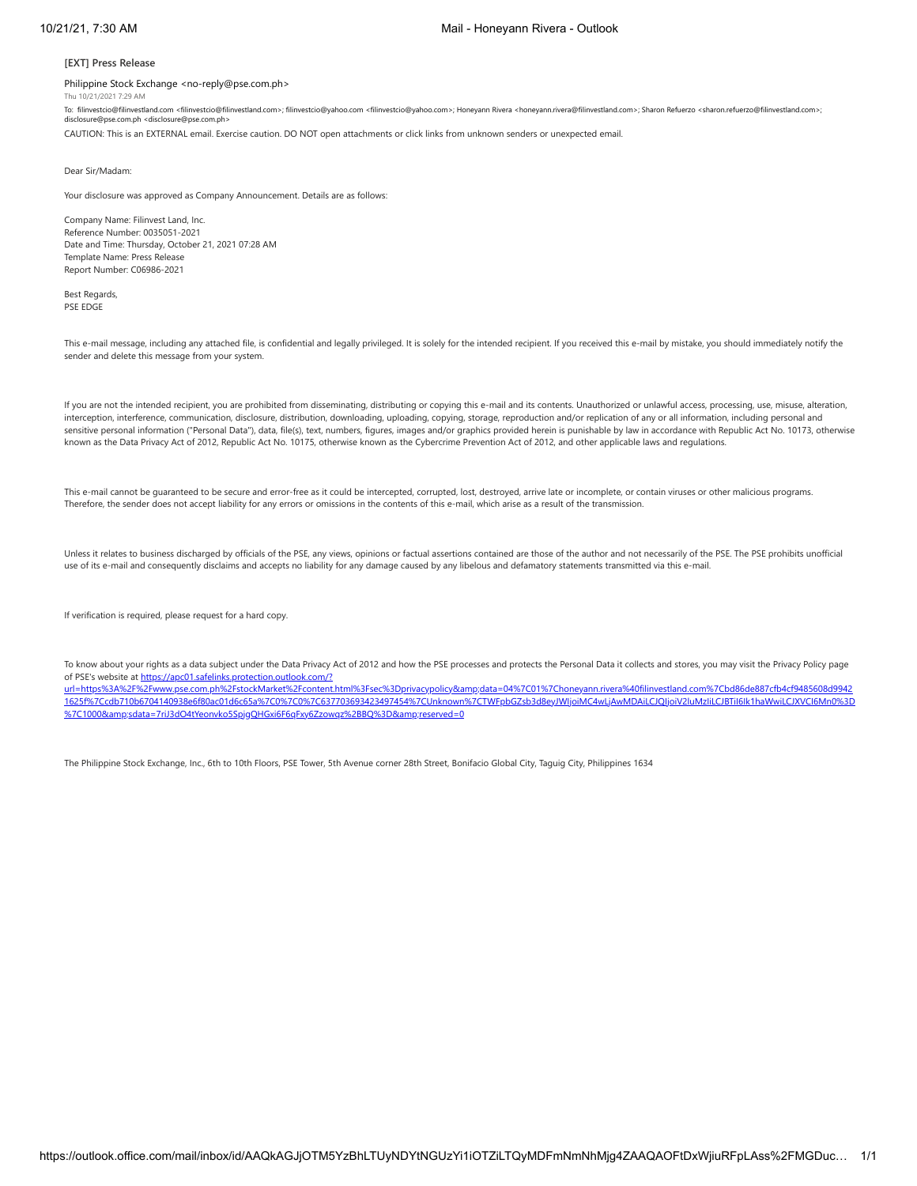### **[EXT] Press Release**

### Philippine Stock Exchange <no-reply@pse.com.ph>

Thu 10/21/2021 7:29 AM

To: filinvestcio@filinvestland.com <filinvestcio@filinvestland.com>; filinvestcio@yahoo.com <filinvestcio@yahoo.com>; Honeyann Rivera <honeyann.rivera@filinvestland.com>; Sharon Refuerzo <sharon.refuerzo@filinvestland.com>; disclosure@pse.com.ph <disclosure@pse.com.ph>

CAUTION: This is an EXTERNAL email. Exercise caution. DO NOT open attachments or click links from unknown senders or unexpected email.

#### Dear Sir/Madam:

Your disclosure was approved as Company Announcement. Details are as follows:

Company Name: Filinvest Land, Inc. Reference Number: 0035051-2021 Date and Time: Thursday, October 21, 2021 07:28 AM Template Name: Press Release Report Number: C06986-2021

Best Regards, PSE EDGE

This e-mail message, including any attached file, is confidential and legally privileged. It is solely for the intended recipient. If you received this e-mail by mistake, you should immediately notify the sender and delete this message from your system.

If you are not the intended recipient, you are prohibited from disseminating, distributing or copying this e-mail and its contents. Unauthorized or unlawful access, processing, use, misuse, alteration, interception, interference, communication, disclosure, distribution, downloading, uploading, copying, storage, reproduction and/or replication of any or all information, including personal and sensitive personal information ("Personal Data"), data, file(s), text, numbers, figures, images and/or graphics provided herein is punishable by law in accordance with Republic Act No. 10173, otherwise known as the Data Privacy Act of 2012, Republic Act No. 10175, otherwise known as the Cybercrime Prevention Act of 2012, and other applicable laws and regulations.

This e-mail cannot be quaranteed to be secure and error-free as it could be intercepted, corrupted, lost, destroyed, arrive late or incomplete, or contain viruses or other malicious programs. Therefore, the sender does not accept liability for any errors or omissions in the contents of this e-mail, which arise as a result of the transmission.

Unless it relates to business discharged by officials of the PSE, any views, opinions or factual assertions contained are those of the author and not necessarily of the PSE. The PSE prohibits unofficial use of its e-mail and consequently disclaims and accepts no liability for any damage caused by any libelous and defamatory statements transmitted via this e-mail.

If verification is required, please request for a hard copy.

To know about your rights as a data subject under the Data Privacy Act of 2012 and how the PSE processes and protects the Personal Data it collects and stores, you may visit the Privacy Policy page of PSE's website at https://apc01.safelinks.protection.outlook.com/?

url=https%3A%2F%2Fwww.pse.com.ph%2FstockMarket%2Fcontent.html%3Fsec%3Dprivacypolicy&amp:data=04%7C01%7Choneyann.rivera%40filinvestland.com%7Cbd86de887cfb4cf9485608d9942 [1625f%7Ccdb710b6704140938e6f80ac01d6c65a%7C0%7C0%7C637703693423497454%7CUnknown%7CTWFpbGZsb3d8eyJWIjoiMC4wLjAwMDAiLCJQIjoiV2luMzIiLCJBTiI6Ik1haWwiLCJXVCI6Mn0%3D](https://apc01.safelinks.protection.outlook.com/?url=https%3A%2F%2Fwww.pse.com.ph%2FstockMarket%2Fcontent.html%3Fsec%3Dprivacypolicy&data=04%7C01%7Choneyann.rivera%40filinvestland.com%7Cbd86de887cfb4cf9485608d99421625f%7Ccdb710b6704140938e6f80ac01d6c65a%7C0%7C0%7C637703693423497454%7CUnknown%7CTWFpbGZsb3d8eyJWIjoiMC4wLjAwMDAiLCJQIjoiV2luMzIiLCJBTiI6Ik1haWwiLCJXVCI6Mn0%3D%7C1000&sdata=7riJ3dO4tYeonvko5SpjgQHGxi6F6qFxy6Zzowqz%2BBQ%3D&reserved=0) %7C1000&sdata=7riJ3dO4tYeonvko5SpjqQHGxi6F6qFxy6Zzowqz%2BBQ%3D&reserved=0

The Philippine Stock Exchange, Inc., 6th to 10th Floors, PSE Tower, 5th Avenue corner 28th Street, Bonifacio Global City, Taguig City, Philippines 1634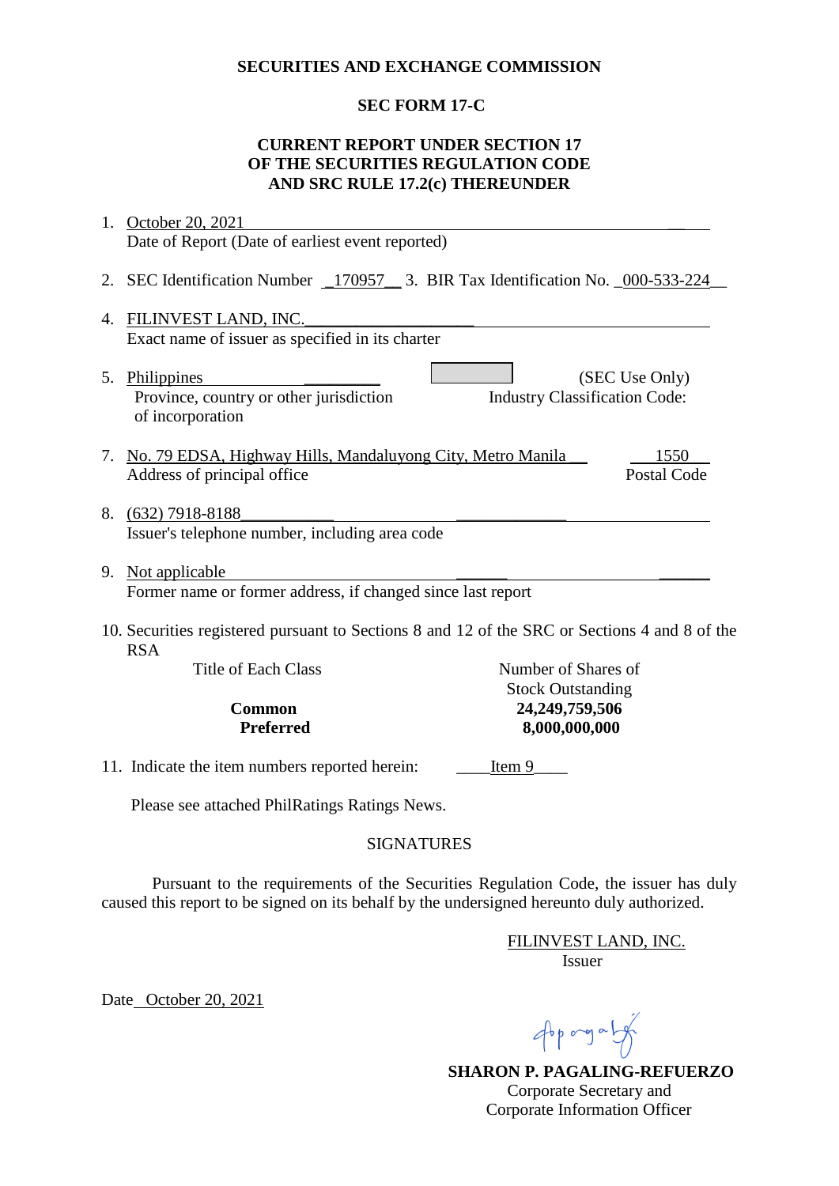## **SECURITIES AND EXCHANGE COMMISSION**

# **SEC FORM 17-C**

# **CURRENT REPORT UNDER SECTION 17 OF THE SECURITIES REGULATION CODE AND SRC RULE 17.2(c) THEREUNDER**

| 1.                                                                                                          | October 20, 2021                                                                             |                                                        |
|-------------------------------------------------------------------------------------------------------------|----------------------------------------------------------------------------------------------|--------------------------------------------------------|
|                                                                                                             | Date of Report (Date of earliest event reported)                                             |                                                        |
| 2.                                                                                                          | SEC Identification Number _170957__ 3. BIR Tax Identification No. _000-533-224               |                                                        |
| 4.                                                                                                          | FILINVEST LAND, INC.<br>Exact name of issuer as specified in its charter                     |                                                        |
|                                                                                                             | 5. Philippines<br>Province, country or other jurisdiction<br>of incorporation                | (SEC Use Only)<br><b>Industry Classification Code:</b> |
|                                                                                                             | 7. No. 79 EDSA, Highway Hills, Mandaluyong City, Metro Manila<br>Address of principal office | 1550<br><b>Postal Code</b>                             |
|                                                                                                             | 8. (632) 7918-8188<br>Issuer's telephone number, including area code                         |                                                        |
|                                                                                                             | 9. Not applicable<br>Former name or former address, if changed since last report             |                                                        |
| 10. Securities registered pursuant to Sections 8 and 12 of the SRC or Sections 4 and 8 of the<br><b>RSA</b> |                                                                                              |                                                        |
|                                                                                                             | <b>Title of Each Class</b>                                                                   | Number of Shares of<br><b>Stock Outstanding</b>        |
|                                                                                                             | Common                                                                                       | 24,249,759,506                                         |
|                                                                                                             | <b>Preferred</b>                                                                             | 8,000,000,000                                          |
|                                                                                                             | 11. Indicate the item numbers reported herein:                                               | Item 9                                                 |
| Please see attached PhilRatings Ratings News.                                                               |                                                                                              |                                                        |
| <b>SIGNATURES</b>                                                                                           |                                                                                              |                                                        |

 Pursuant to the requirements of the Securities Regulation Code, the issuer has duly caused this report to be signed on its behalf by the undersigned hereunto duly authorized.

 FILINVEST LAND, INC. Issuer

Date October 20, 2021

 $46p$  ang a  $\frac{1}{2}$ 

 **SHARON P. PAGALING-REFUERZO** Corporate Secretary and Corporate Information Officer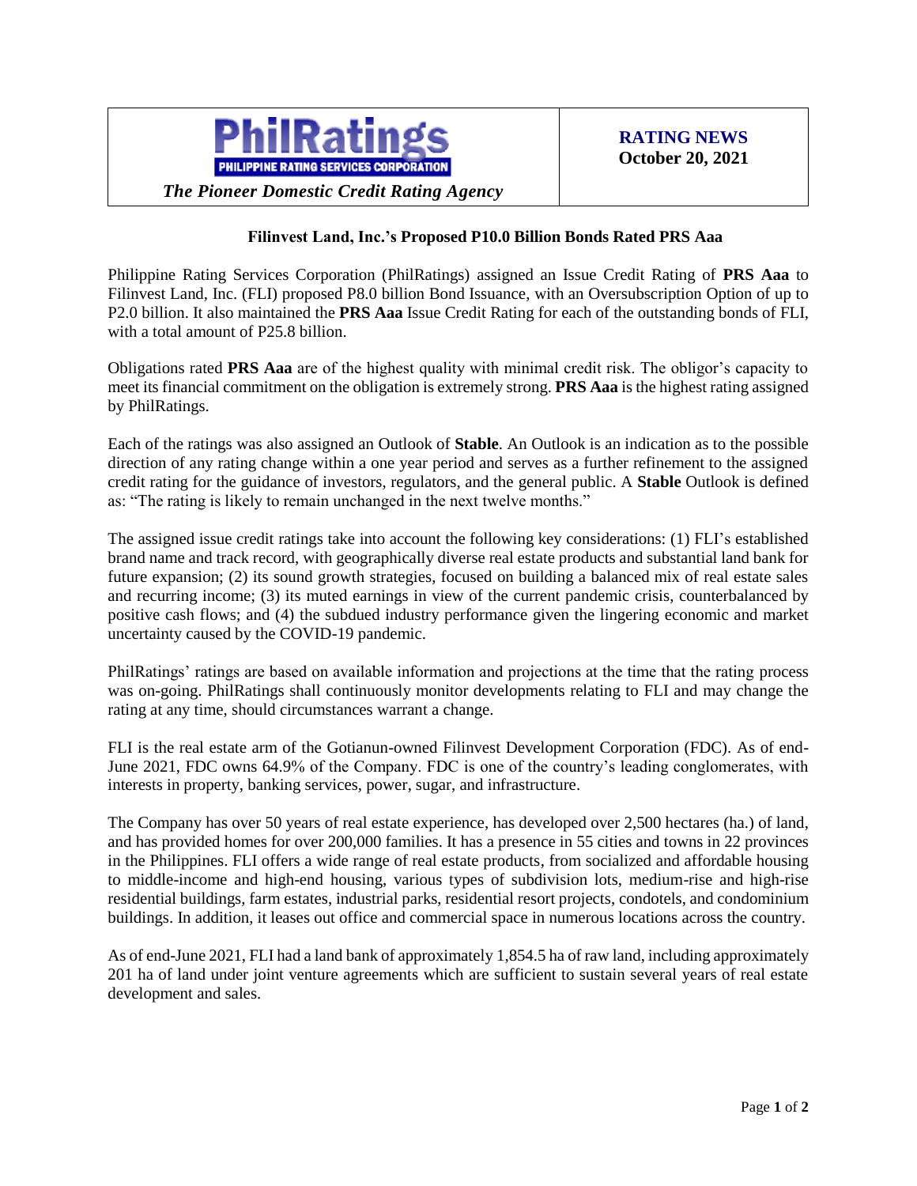

*The Pioneer Domestic Credit Rating Agency*

## **Filinvest Land, Inc.'s Proposed P10.0 Billion Bonds Rated PRS Aaa**

Philippine Rating Services Corporation (PhilRatings) assigned an Issue Credit Rating of **PRS Aaa** to Filinvest Land, Inc. (FLI) proposed P8.0 billion Bond Issuance, with an Oversubscription Option of up to P2.0 billion. It also maintained the **PRS Aaa** Issue Credit Rating for each of the outstanding bonds of FLI, with a total amount of P25.8 billion.

Obligations rated **PRS Aaa** are of the highest quality with minimal credit risk. The obligor's capacity to meet its financial commitment on the obligation is extremely strong. **PRS Aaa** is the highest rating assigned by PhilRatings.

Each of the ratings was also assigned an Outlook of **Stable**. An Outlook is an indication as to the possible direction of any rating change within a one year period and serves as a further refinement to the assigned credit rating for the guidance of investors, regulators, and the general public. A **Stable** Outlook is defined as: "The rating is likely to remain unchanged in the next twelve months."

The assigned issue credit ratings take into account the following key considerations: (1) FLI's established brand name and track record, with geographically diverse real estate products and substantial land bank for future expansion; (2) its sound growth strategies, focused on building a balanced mix of real estate sales and recurring income; (3) its muted earnings in view of the current pandemic crisis, counterbalanced by positive cash flows; and (4) the subdued industry performance given the lingering economic and market uncertainty caused by the COVID-19 pandemic.

PhilRatings' ratings are based on available information and projections at the time that the rating process was on-going. PhilRatings shall continuously monitor developments relating to FLI and may change the rating at any time, should circumstances warrant a change.

FLI is the real estate arm of the Gotianun-owned Filinvest Development Corporation (FDC). As of end-June 2021, FDC owns 64.9% of the Company. FDC is one of the country's leading conglomerates, with interests in property, banking services, power, sugar, and infrastructure.

The Company has over 50 years of real estate experience, has developed over 2,500 hectares (ha.) of land, and has provided homes for over 200,000 families. It has a presence in 55 cities and towns in 22 provinces in the Philippines. FLI offers a wide range of real estate products, from socialized and affordable housing to middle-income and high-end housing, various types of subdivision lots, medium-rise and high-rise residential buildings, farm estates, industrial parks, residential resort projects, condotels, and condominium buildings. In addition, it leases out office and commercial space in numerous locations across the country.

As of end-June 2021, FLI had a land bank of approximately 1,854.5 ha of raw land, including approximately 201 ha of land under joint venture agreements which are sufficient to sustain several years of real estate development and sales.